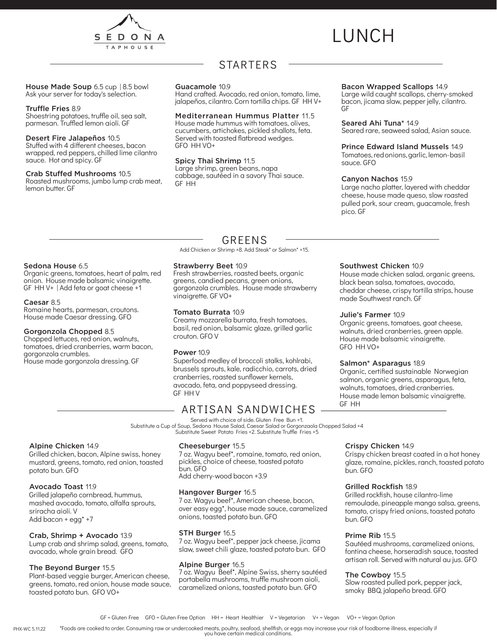

# LUNCH

House Made Soup 6.5 cup | 8.5 bowl Ask your server for today's selection.

#### Truffle Fries 8.9

Shoestring potatoes, truffle oil, sea salt, parmesan. Truffled lemon aioli. GF

#### Desert Fire Jalapeños 10.5

Stuffed with 4 different cheeses, bacon wrapped, red peppers, chilled lime cilantro sauce. Hot and spicy. GF

#### Crab Stuffed Mushrooms 10.5

Roasted mushrooms, jumbo lump crab meat, lemon butter. GF

## **STARTERS**

#### Guacamole 10.9

Hand crafted. Avocado, red onion, tomato, lime, jalapeños, cilantro. Corn tortilla chips. GF HH V+

#### Mediterranean Hummus Platter 11.5

House made hummus with tomatoes, olives, cucumbers, artichokes, pickled shallots, feta. Served with toasted flatbread wedges. GFO HH VO+

#### Spicy Thai Shrimp 11.5

Large shrimp, green beans, napa cabbage, sautéed in a savory Thai sauce. GF HH

#### Bacon Wrapped Scallops 14.9

Large wild caught scallops, cherry-smoked bacon, jicama slaw, pepper jelly, cilantro. GF

Seared Ahi Tuna\* 14.9

Seared rare, seaweed salad, Asian sauce.

#### Prince Edward Island Mussels 14.9

Tomatoes, red onions, garlic, lemon- basil sauce. GFO

#### Canyon Nachos 15.9

Large nacho platter, layered with cheddar cheese, house made queso, slow roasted pulled pork, sour cream, guacamole, fresh pico. GF

#### Sedona House 6.5

Organic greens, tomatoes, heart of palm, red onion. House made balsamic vinaigrette. GF HH V+ | Add feta or goat cheese +1

#### Caesar 8.5

Romaine hearts, parmesan, croutons. House made Caesar dressing. GFO

#### Gorgonzola Chopped 8.5

Chopped lettuces, red onion, walnuts, tomatoes, dried cranberries, warm bacon, gorgonzola crumbles. House made gorgonzola dressing. GF

## GREENS

Add Chicken or Shrimp +8. Add Steak\* or Salmon\* +15.

#### Strawberry Beet 10.9

Fresh strawberries, roasted beets, organic greens, candied pecans, green onions, gorgonzola crumbles. House made strawberry vinaigrette. GF VO+

#### Tomato Burrata 10.9

Creamy mozzarella burrata, fresh tomatoes, basil, red onion, balsamic glaze, grilled garlic crouton. GFO V

#### Power 10.9

Superfood medley of broccoli stalks, kohlrabi, brussels sprouts, kale, radicchio, carrots, dried cranberries, roasted sunflower kernels, avocado, feta, and poppyseed dressing. GF HH V

## ARTISAN SANDWICHES

Served with choice of side. Gluten Free Bun +1. Substitute a Cup of Soup, Sedona House Salad, Caesar Salad or Gorgonzaola Chopped Salad +4 Substitute Sweet Potato Fries +2. Substitute Truffle Fries +5

#### Alpine Chicken 14.9

Grilled chicken, bacon, Alpine swiss, honey mustard, greens, tomato, red onion, toasted potato bun. GFO

#### Avocado Toast 11.9

Grilled jalapeño cornbread, hummus, mashed avocado, tomato, alfalfa sprouts, sriracha aioli. V Add bacon + egg\* +7

#### Crab, Shrimp + Avocado 13.9

Lump crab and shrimp salad, greens, tomato, avocado, whole grain bread. GFO

#### The Beyond Burger 15.5

Plant-based veggie burger, American cheese, greens, tomato, red onion, house made sauce, toasted potato bun. GFO VO+

#### Cheeseburger 15.5

7 oz. Wagyu beef\*, romaine, tomato, red onion, pickles, choice of cheese, toasted potato bun. GFO Add cherry-wood bacon +3.9

#### Hangover Burger 16.5

7 oz. Wagyu beef\*, American cheese, bacon, over easy egg\*, house made sauce, caramelized onions, toasted potato bun. GFO

#### STH Burger 16.5

7 oz. Wagyu beef\*, pepper jack cheese, jicama slaw, sweet chili glaze, toasted potato bun. GFO

#### Alpine Burger 16.5

7 oz. Wagyu Beef\*, Alpine Swiss, sherry sautéed portabella mushrooms, truffle mushroom aioli, caramelized onions, toasted potato bun. GFO

#### Southwest Chicken 10.9

House made chicken salad, organic greens, black bean salsa, tomatoes, avocado, cheddar cheese, crispy tortilla strips, house made Southwest ranch. GF

#### Julie's Farmer 10.9

Organic greens, tomatoes, goat cheese, walnuts, dried cranberries, green apple. House made balsamic vinaigrette. GFO HH VO+

#### Salmon\* Asparagus 18.9

Organic, certified sustainable Norwegian salmon, organic greens, asparagus, feta, walnuts, tomatoes, dried cranberries. House made lemon balsamic vinaigrette. GF HH

#### Crispy Chicken 14.9

Crispy chicken breast coated in a hot honey glaze, romaine, pickles, ranch, toasted potato bun. GFO

#### Grilled Rockfish 18.9

Grilled rockfish, house cilantro-lime remoulade, pineapple mango salsa, greens, tomato, crispy fried onions, toasted potato bun. GFO

#### Prime Rib 15.5

Sautéed mushrooms, caramelized onions, fontina cheese, horseradish sauce, toasted artisan roll. Served with natural au jus. GFO

#### The Cowboy 15.5

Slow roasted pulled pork, pepper jack, smoky BBQ, jalapeño bread. GFO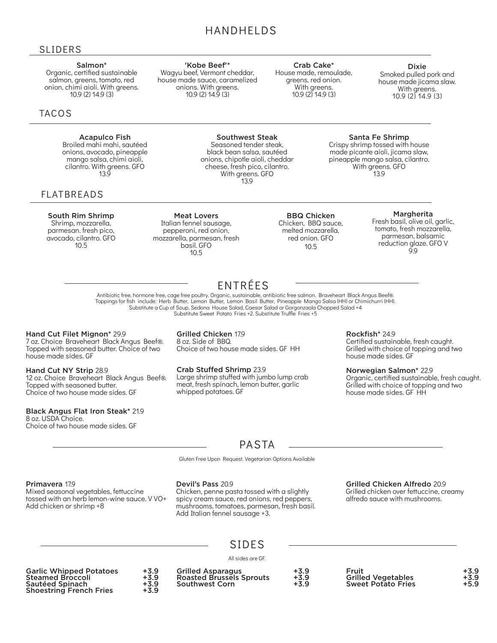## HANDHELDS

'Kobe Beef'\* Wagyu beef, Vermont cheddar, house made sauce, caramelized onions. With greens. 10.9 (2) 14.9 (3)

### SLIDERS

#### Salmon\*

Organic, certified sustainable salmon, greens, tomato, red onion, chimi aioli. With greens. 10.9 (2) 14.9 (3)

### TACOS

#### Acapulco Fish Broiled mahi mahi, sautéed

onions, avocado, pineapple mango salsa, chimi aioli, cilantro. With greens. GFO 13.9

### FLATBREADS

South Rim Shrimp

Shrimp, mozzarella, parmesan. fresh pico, avocado, cilantro. GFO  $10.5$ 

Meat Lovers Italian fennel sausage, pepperoni, red onion, mozzarella, parmesan, fresh basil. GFO 10.5

Crab Cake\*

House made, remoulade, greens, red onion. With greens. 10.9 (2) 14.9 (3)

Dixie Smoked pulled pork and house made jicama slaw. With greens. 10.9 (2) 14.9 (3)

#### Southwest Steak Seasoned tender steak, black bean salsa, sautéed onions, chipotle aioli, cheddar cheese, fresh pico, cilantro. With greens. GFO 13.9

#### BBQ Chicken Chicken, BBQ sauce, melted mozzarella, red onion. GFO 10.5

#### Margherita

Santa Fe Shrimp Crispy shrimp tossed with house made picante aioli, jicama slaw, pineapple mango salsa, cilantro. With greens. GFO 13.9

> Fresh basil, olive oil, garlic, tomato, fresh mozzarella, parmesan, balsamic reduction glaze. GFO V 9.9

ENTRÉES Antibiotic free, hormone free, cage free poultry. Organic, sustainable, antibiotic free salmon. Braveheart Black Angus Beef®. Toppings for fish include: Herb Butter, Lemon Butter, Lemon Basil Butter, Pineapple Mango Salsa (HH) or Chimichurri (HH).<br>Substitute a Cup of Soup, Sedona House Salad, Caesar Salad or Gorgonzaola Chopped Salad +4 Substitute Sweet Potato Fries +2. Substitute Truffle Fries +5

#### Hand Cut Filet Mignon\* 29.9

7 oz. Choice Braveheart Black Angus Beef®. Topped with seasoned butter. Choice of two house made sides. GF

Hand Cut NY Strip 28.9 12 oz. Choice Braveheart Black Angus Beef®. Topped with seasoned butter. Choice of two house made sides. GF

#### Black Angus Flat Iron Steak\* 21.9

8 oz. USDA Choice. Choice of two house made sides. GF Grilled Chicken 17.9 8 oz. Side of BBQ. Choice of two house made sides. GF HH

Crab Stuffed Shrimp 23.9 Large shrimp stuffed with jumbo lump crab meat, fresh spinach, lemon butter, garlic whipped potatoes. GF

Rockfish\* 24.9 Certified sustainable, fresh caught. Grilled with choice of topping and two house made sides. GF

#### Norwegian Salmon\* 22.9

Organic, certified sustainable, fresh caught. Grilled with choice of topping and two house made sides. GF HH

## PASTA

Gluten Free Upon Request. Vegetarian Options Available

#### Primavera 17.9

Mixed seasonal vegetables, fettuccine tossed with an herb lemon-wine sauce. V VO+ Add chicken or shrimp +8

#### Devil's Pass 20.9

Chicken, penne pasta tossed with a slightly spicy cream sauce, red onions, red peppers, mushrooms, tomatoes, parmesan, fresh basil. Add Italian fennel sausage +3.

Grilled Chicken Alfredo 20.9

Grilled chicken over fettuccine, creamy alfredo sauce with mushrooms.

### SIDES

All sides are GF.

| <b>Garlic Whipped Potatoes</b><br><b>Steamed Broccoli</b> | +3.9<br>+3.9   | <b>Grilled Asparagus</b><br><b>Roasted Brussels Sprouts</b> | +3.9<br>$+3.9$ | Fruit<br><b>Grilled Vegetables</b> | $+3.9$<br>+3.9 |
|-----------------------------------------------------------|----------------|-------------------------------------------------------------|----------------|------------------------------------|----------------|
| Sautéed Spinach<br><b>Shoestring French Fries</b>         | $+3.9$<br>+3.9 | <b>Southwest Corn</b>                                       | $+3.9$         | <b>Sweet Potato Fries</b>          | $+5.9$         |
|                                                           |                |                                                             |                |                                    |                |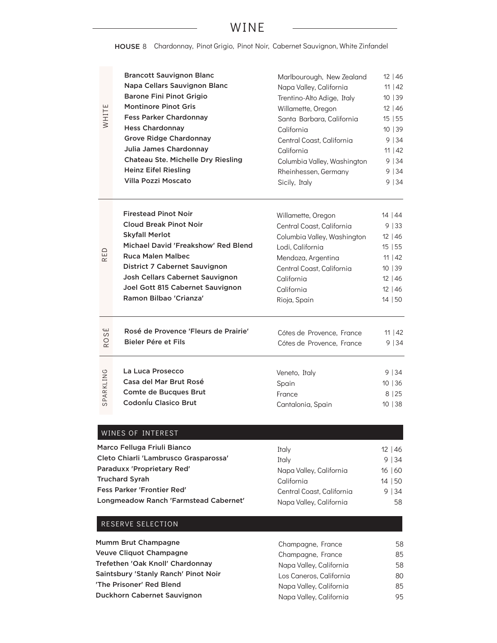## WINE

HOUSE 8 Chardonnay, Pinot Grigio, Pinot Noir, Cabernet Sauvignon, White Zinfandel

| WHITE                | <b>Brancott Sauvignon Blanc</b>                                                                                                                                                                                                                                                                   | Marlbourough, New Zealand                                                                                                                                                                         | 12 46                                                                                   |
|----------------------|---------------------------------------------------------------------------------------------------------------------------------------------------------------------------------------------------------------------------------------------------------------------------------------------------|---------------------------------------------------------------------------------------------------------------------------------------------------------------------------------------------------|-----------------------------------------------------------------------------------------|
|                      | Napa Cellars Sauvignon Blanc                                                                                                                                                                                                                                                                      | Napa Valley, California                                                                                                                                                                           | 11   42                                                                                 |
|                      | <b>Barone Fini Pinot Grigio</b>                                                                                                                                                                                                                                                                   | Trentino-Alto Adige, Italy                                                                                                                                                                        | 10 39                                                                                   |
|                      | <b>Montinore Pinot Gris</b>                                                                                                                                                                                                                                                                       | Willamette, Oregon                                                                                                                                                                                | $12 \mid 46$                                                                            |
|                      | <b>Fess Parker Chardonnay</b>                                                                                                                                                                                                                                                                     | Santa Barbara, California                                                                                                                                                                         | 15 55                                                                                   |
|                      | <b>Hess Chardonnay</b>                                                                                                                                                                                                                                                                            | California                                                                                                                                                                                        | 10 39                                                                                   |
|                      | <b>Grove Ridge Chardonnay</b>                                                                                                                                                                                                                                                                     | Central Coast, California                                                                                                                                                                         | 9 34                                                                                    |
|                      | Julia James Chardonnay                                                                                                                                                                                                                                                                            | California                                                                                                                                                                                        | 11   42                                                                                 |
|                      | Chateau Ste. Michelle Dry Riesling                                                                                                                                                                                                                                                                | Columbia Valley, Washington                                                                                                                                                                       | 9 34                                                                                    |
|                      | <b>Heinz Eifel Riesling</b>                                                                                                                                                                                                                                                                       | Rheinhessen, Germany                                                                                                                                                                              | 9   34                                                                                  |
|                      | Villa Pozzi Moscato                                                                                                                                                                                                                                                                               | Sicily, Italy                                                                                                                                                                                     | 9   34                                                                                  |
| 읍<br>$\propto$       | <b>Firestead Pinot Noir</b><br><b>Cloud Break Pinot Noir</b><br><b>Skyfall Merlot</b><br>Michael David 'Freakshow' Red Blend<br><b>Ruca Malen Malbec</b><br><b>District 7 Cabernet Sauvignon</b><br>Josh Cellars Cabernet Sauvignon<br>Joel Gott 815 Cabernet Sauvignon<br>Ramon Bilbao 'Crianza' | Willamette, Oregon<br>Central Coast, California<br>Columbia Valley, Washington<br>Lodi, California<br>Mendoza, Argentina<br>Central Coast, California<br>California<br>California<br>Rioja, Spain | 14   44<br>9 33<br>$12 \mid 46$<br>15 55<br>11   42<br>10 39<br>12 46<br>12 46<br>14 50 |
| ЭS<br>O<br>$\propto$ | Rosé de Provence 'Fleurs de Prairie'<br>Bieler Pére et Fils                                                                                                                                                                                                                                       | Cótes de Provence, France<br>Cótes de Provence, France                                                                                                                                            | 11   42<br>9   34                                                                       |
| SPARKLING            | La Luca Prosecco                                                                                                                                                                                                                                                                                  | Veneto, Italy                                                                                                                                                                                     | 9   34                                                                                  |
|                      | Casa del Mar Brut Rosé                                                                                                                                                                                                                                                                            | Spain                                                                                                                                                                                             | 10 36                                                                                   |
|                      | <b>Comte de Bucques Brut</b>                                                                                                                                                                                                                                                                      | France                                                                                                                                                                                            | 8 25                                                                                    |
|                      | Codoníu Clasico Brut                                                                                                                                                                                                                                                                              | Cantalonia, Spain                                                                                                                                                                                 | 10 38                                                                                   |
|                      | WINES OF INTEREST                                                                                                                                                                                                                                                                                 |                                                                                                                                                                                                   |                                                                                         |
|                      | Marco Felluga Friuli Bianco                                                                                                                                                                                                                                                                       | Italy                                                                                                                                                                                             | 12 46                                                                                   |
|                      | Cleto Chiarli 'Lambrusco Grasparossa'                                                                                                                                                                                                                                                             | Italy                                                                                                                                                                                             | 9 34                                                                                    |
|                      | Paraduxx 'Proprietary Red'                                                                                                                                                                                                                                                                        | Napa Valley, California                                                                                                                                                                           | 16 60                                                                                   |
|                      | <b>Truchard Syrah</b>                                                                                                                                                                                                                                                                             | California                                                                                                                                                                                        | 14 50                                                                                   |
|                      | <b>Fess Parker 'Frontier Red'</b>                                                                                                                                                                                                                                                                 | Central Coast, California                                                                                                                                                                         | 9 34                                                                                    |
|                      | Longmeadow Ranch 'Farmstead Cabernet'                                                                                                                                                                                                                                                             | Napa Valley, California                                                                                                                                                                           | 58                                                                                      |

| Mumm Brut Champagne                  | Champagne, France       | 58 |
|--------------------------------------|-------------------------|----|
| Veuve Cliquot Champagne              | Champagne, France       | 85 |
| Trefethen 'Oak Knoll' Chardonnay     | Napa Valley, California | 58 |
| Saintsbury 'Stanly Ranch' Pinot Noir | Los Caneros, California | 80 |
| 'The Prisoner' Red Blend             | Napa Valley, California | 85 |
| <b>Duckhorn Cabernet Sauvignon</b>   | Napa Valley, California | 95 |